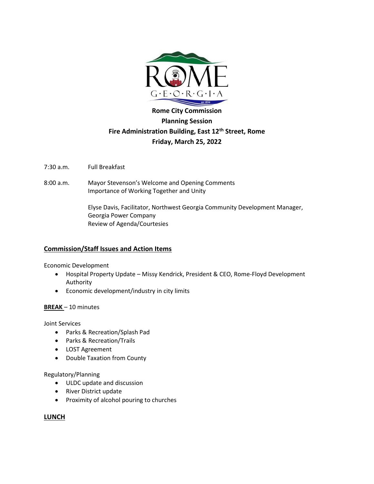

# **Rome City Commission Planning Session Fire Administration Building, East 12th Street, Rome Friday, March 25, 2022**

7:30 a.m. Full Breakfast

8:00 a.m. Mayor Stevenson's Welcome and Opening Comments Importance of Working Together and Unity

> Elyse Davis, Facilitator, Northwest Georgia Community Development Manager, Georgia Power Company Review of Agenda/Courtesies

## **Commission/Staff Issues and Action Items**

Economic Development

- Hospital Property Update Missy Kendrick, President & CEO, Rome-Floyd Development Authority
- Economic development/industry in city limits

## **BREAK** – 10 minutes

Joint Services

- Parks & Recreation/Splash Pad
- Parks & Recreation/Trails
- LOST Agreement
- Double Taxation from County

### Regulatory/Planning

- ULDC update and discussion
- River District update
- Proximity of alcohol pouring to churches

## **LUNCH**